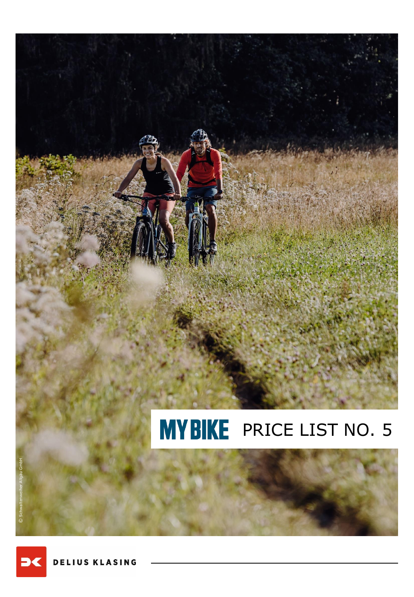

DELIUS KLASING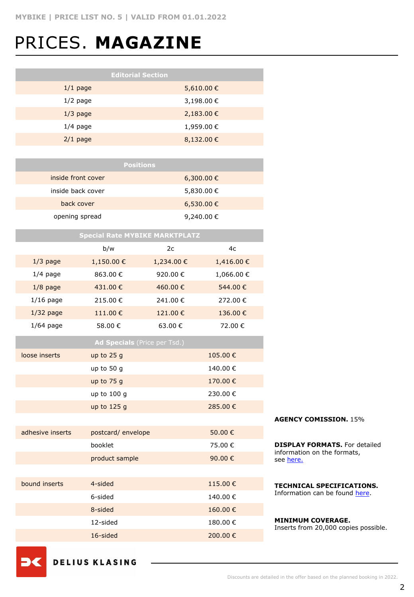# PRICES. **MAGAZINE**

|                    | <b>Positions</b> |
|--------------------|------------------|
| inside front cover | 6,300.00 €       |
| inside back cover  | 5,830.00 €       |
| back cover         | $6,530.00 \in$   |
| opening spread     | 9,240.00 €       |

| <b>Special Rate MYBIKE MARKTPLATZ</b> |                    |           |           |  |
|---------------------------------------|--------------------|-----------|-----------|--|
|                                       | b/w                | 2c        | 4c        |  |
| $1/3$ page                            | 1,150.00€          | 1,234.00€ | 1,416.00€ |  |
| $1/4$ page                            | 863.00 €           | 920.00€   | 1,066.00€ |  |
| $1/8$ page                            | 431.00€            | 460.00€   | 544.00€   |  |
| $1/16$ page                           | 215.00€            | 241.00€   | 272.00€   |  |
| $1/32$ page                           | 111.00€            | 121.00€   | 136.00€   |  |
| $1/64$ page                           | 58.00 €            | 63.00€    | 72.00€    |  |
| Ad Specials (Price per Tsd.)          |                    |           |           |  |
| loose inserts                         | up to 25 g         |           | 105.00€   |  |
|                                       | up to 50 g         |           | 140.00€   |  |
|                                       | up to 75 g         |           | 170.00€   |  |
|                                       | up to 100 g        |           | 230.00€   |  |
|                                       | up to 125 g        |           | 285.00€   |  |
|                                       |                    |           |           |  |
| adhesive inserts                      | postcard/envelope  |           | 50.00€    |  |
|                                       | booklet<br>75.00€  |           |           |  |
|                                       | product sample     |           | 90.00€    |  |
|                                       |                    |           |           |  |
| bound inserts                         | 4-sided            |           | 115.00€   |  |
|                                       | 6-sided<br>140.00€ |           |           |  |
|                                       | 8-sided            |           | 160.00€   |  |
|                                       | 12-sided           |           | 180.00€   |  |
|                                       | 16-sided           |           | 200.00€   |  |

#### **AGENCY COMISSION.** 15%

**DISPLAY FORMATS.** For detailed information on the formats, see [here.](https://www.dk-mediasales.de/print-formate)

**TECHNICAL SPECIFICATIONS.**  Information can be found [here](https://www.dk-mediasales.de/spezifikationen-print).

#### **MINIMUM COVERAGE.** Inserts from 20,000 copies possible.

**DELIUS KLASING** 

- 33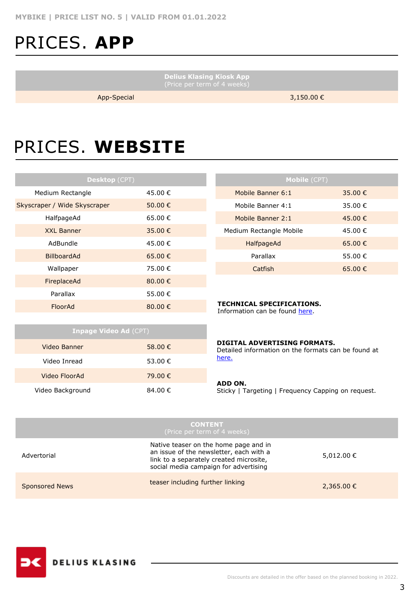### PRICES. **APP**

**Delius Klasing Kiosk App**

App-Special 3,150.00 €

## PRICES. **WEBSITE**

| <b>Desktop</b> (CPT)         |         |  |  |
|------------------------------|---------|--|--|
| Medium Rectangle             | 45.00 € |  |  |
| Skyscraper / Wide Skyscraper | 50.00 € |  |  |
| HalfpageAd                   | 65.00 € |  |  |
| <b>XXL Banner</b>            | 35.00 € |  |  |
| AdBundle                     | 45.00 € |  |  |
| BillboardAd                  | 65.00 € |  |  |
| Wallpaper                    | 75.00 € |  |  |
| FireplaceAd                  | 80.00€  |  |  |
| Parallax                     | 55.00 € |  |  |
| FloorAd                      | 80.00€  |  |  |

| <b>Mobile (CPT)</b>     |         |  |  |
|-------------------------|---------|--|--|
| Mobile Banner 6:1       | 35.00 € |  |  |
| Mobile Banner 4:1       | 35.00 € |  |  |
| Mobile Banner 2:1       | 45.00 € |  |  |
| Medium Rectangle Mobile | 45.00€  |  |  |
| HalfpageAd              | 65.00 € |  |  |
| Parallax                | 55.00 € |  |  |
| Catfish                 | 65.00 € |  |  |

#### **TECHNICAL SPECIFICATIONS.**

Information can be found [here.](https://www.dk-mediasales.de/spezifikationen-digital)

| <b>Inpage Video Ad (CPT)</b> |         |  |  |
|------------------------------|---------|--|--|
| Video Banner                 | 58.00 € |  |  |
| Video Inread                 | 53.00 € |  |  |
| Video FloorAd                | 79.00 € |  |  |
| Video Background             | 84.00 € |  |  |

#### **DIGITAL ADVERTISING FORMATS.**

Detailed information on the formats can be found at [here.](https://www.dk-mediasales.de/digital-formate)

#### **ADD ON.**

Sticky | Targeting | Frequency Capping on request.

|                       | <b>CONTENT</b><br>(Price per term of 4 weeks)                                                                                                                        |            |
|-----------------------|----------------------------------------------------------------------------------------------------------------------------------------------------------------------|------------|
| Advertorial           | Native teaser on the home page and in<br>an issue of the newsletter, each with a<br>link to a separately created microsite,<br>social media campaign for advertising | 5,012.00 € |
| <b>Sponsored News</b> | teaser including further linking                                                                                                                                     | 2,365.00 € |

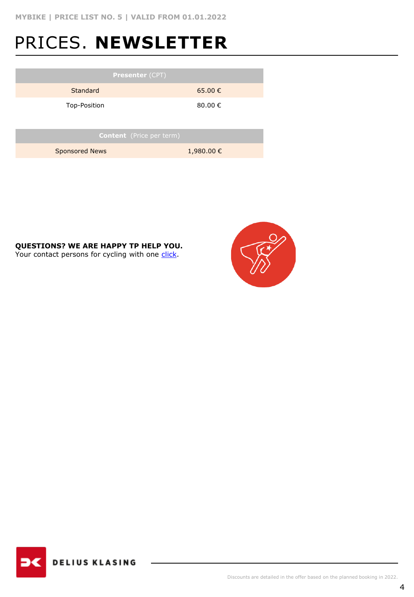### PRICES. **NEWSLETTER**

| <b>Presenter (CPT)</b>          |             |  |  |
|---------------------------------|-------------|--|--|
| Standard                        | $65.00 \in$ |  |  |
| Top-Position                    | 80.00 €     |  |  |
|                                 |             |  |  |
| <b>Content</b> (Price per term) |             |  |  |
| <b>Sponsored News</b>           | 1,980.00€   |  |  |
|                                 |             |  |  |

### **QUESTIONS? WE ARE HAPPY TP HELP YOU.**

Your contact persons for cycling with one [click.](https://www.dk-mediasales.de/kontakt-radsport)



**DELIUS KLASING**